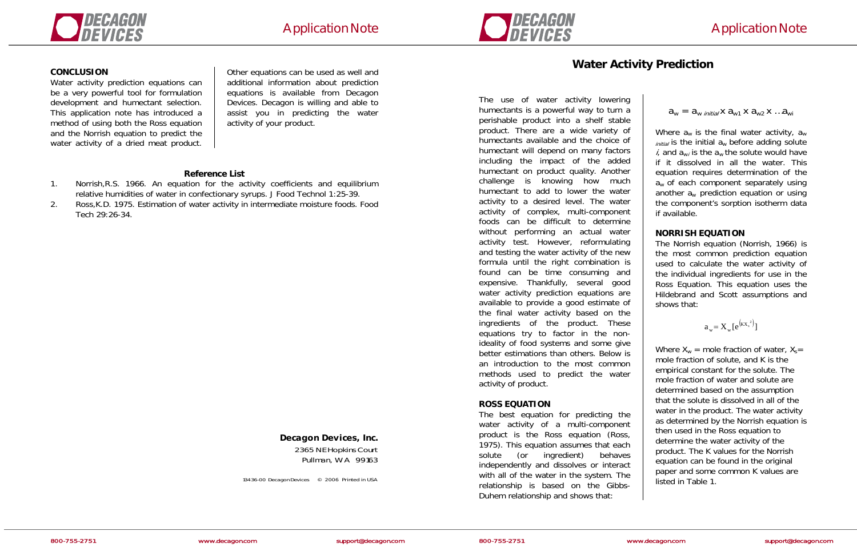



#### **CONCLUSION**

Water activity prediction equations can be a very powerful tool for formulation development and humectant selection. This application note has introduced a method of using both the Ross equation and the Norrish equation to predict the water activity of a dried meat product.

Other equations can be used as well and additional information about prediction equations is available from Decagon Devices. Decagon is willing and able to assist you in predicting the water activity of your product.

#### **Reference List**

- 1. Norrish,R.S. 1966. An equation for the activity coefficients and equilibrium relative humidities of water in confectionary syrups. J Food Technol 1:25-39.
- 2. Ross,K.D. 1975. Estimation of water activity in intermediate moisture foods. Food Tech 29:26-34.

*Decagon Devices, Inc.* 

2365 NE Hopkins Court Pullman, WA 99163

13436-00 Decagon Devices © 2006 Printed in USA

 $\mathsf{a}_\mathsf{w} = \mathsf{a}_\mathsf{w}$  *initial* **X**  $\mathsf{a}_\mathsf{w1}$  **x**  $\mathsf{a}_\mathsf{w2}$  **x**  $\ldots$   $\mathsf{a}_\mathsf{w1}$ 

## **Water Activity Prediction**

Where  $a_w$  is the final water activity,  $a_w$  $<sub>initial</sub>$  is the initial  $a<sub>w</sub>$  before adding solute</sub> i, and  $a_{w i}$  is the  $a_w$  the solute would have if it dissolved in all the water. This equation requires determination of the  $a<sub>w</sub>$  of each component separately using another  $a_w$  prediction equation or using the component's sorption isotherm data if available.

The use of water activity lowering humectants is a powerful way to turn a perishable product into a shelf stable product. There are a wide variety of humectants available and the choice of humectant will depend on many factors including the impact of the added humectant on product quality. Another challenge is knowing how much humectant to add to lower the water activity to a desired level. The water activity of complex, multi-component foods can be difficult to determine without performing an actual water activity test. However, reformulating and testing the water activity of the new formula until the right combination is found can be time consuming and expensive. Thankfully, several good water activity prediction equations are available to provide a good estimate of the final water activity based on the ingredients of the product. These equations try to factor in the nonideality of food systems and some give better estimations than others. Below is an introduction to the most common methods used to predict the water activity of product.

Where  $X_w$  = mole fraction of water,  $X_s$ = mole fraction of solute, and K is the empirical constant for the solute. The mole fraction of water and solute are determined based on the assumption that the solute is dissolved in all of the water in the product. The water activity as determined by the Norrish equation is then used in the Ross equation to determine the water activity of the product. The K values for the Norrish equation can be found in the original paper and some common K values are listed in Table 1.

#### **ROSS EQUATION**

The best equation for predicting the water activity of a multi-component product is the Ross equation (Ross, 1975). This equation assumes that each solute (or ingredient) behaves independently and dissolves or interact with all of the water in the system. The relationship is based on the Gibbs-Duhem relationship and shows that:

#### **NORRISH EQUATION**

The Norrish equation (Norrish, 1966) is the most common prediction equation used to calculate the water activity of the individual ingredients for use in the Ross Equation. This equation uses the Hildebrand and Scott assumptions and shows that:

 $a_w = X_w [e^{(K X_s^2)}]$